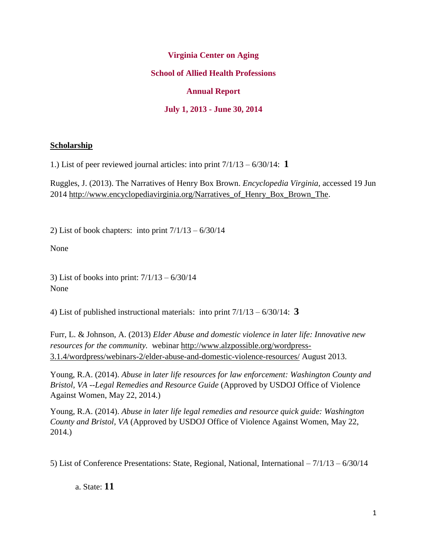### **Virginia Center on Aging**

### **School of Allied Health Professions**

### **Annual Report**

### **July 1, 2013 - June 30, 2014**

#### **Scholarship**

1.) List of peer reviewed journal articles: into print 7/1/13 – 6/30/14: **1**

Ruggles, J. (2013). The Narratives of Henry Box Brown. *Encyclopedia Virginia,* accessed 19 Jun 2014 [http://www.encyclopediavirginia.org/Narratives\\_of\\_Henry\\_Box\\_Brown\\_The.](http://www.encyclopediavirginia.org/Narratives_of_Henry_Box_Brown_The)

2) List of book chapters: into print  $7/1/13 - 6/30/14$ 

None

3) List of books into print: 7/1/13 – 6/30/14 None

4) List of published instructional materials: into print 7/1/13 – 6/30/14: **3**

Furr, L. & Johnson, A. (2013) *Elder Abuse and domestic violence in later life: Innovative new resources for the community.* webinar [http://www.alzpossible.org/wordpress-](http://www.alzpossible.org/wordpress-3.1.4/wordpress/webinars-2/elder-abuse-and-domestic-violence-resources/)[3.1.4/wordpress/webinars-2/elder-abuse-and-domestic-violence-resources/](http://www.alzpossible.org/wordpress-3.1.4/wordpress/webinars-2/elder-abuse-and-domestic-violence-resources/) August 2013.

Young, R.A. (2014). *Abuse in later life resources for law enforcement: Washington County and Bristol, VA --Legal Remedies and Resource Guide* (Approved by USDOJ Office of Violence Against Women, May 22, 2014.)

Young, R.A. (2014). *Abuse in later life legal remedies and resource quick guide: Washington County and Bristol, VA* (Approved by USDOJ Office of Violence Against Women, May 22, 2014.)

5) List of Conference Presentations: State, Regional, National, International – 7/1/13 – 6/30/14

a. State: **11**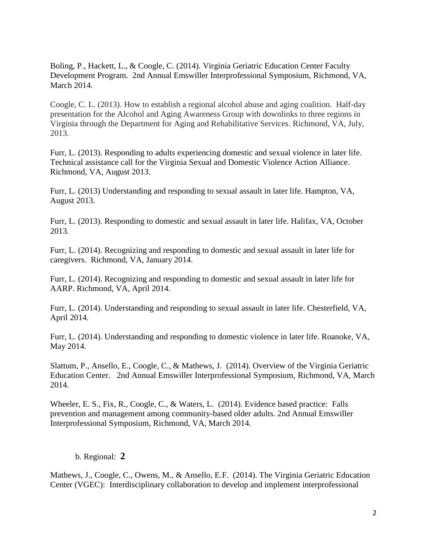Boling, P., Hackett, L., & Coogle, C. (2014). Virginia Geriatric Education Center Faculty Development Program. 2nd Annual Emswiller Interprofessional Symposium, Richmond, VA, March 2014.

Coogle, C. L. (2013). How to establish a regional alcohol abuse and aging coalition. Half-day presentation for the Alcohol and Aging Awareness Group with downlinks to three regions in Virginia through the Department for Aging and Rehabilitative Services. Richmond, VA, July, 2013.

Furr, L. (2013). Responding to adults experiencing domestic and sexual violence in later life. Technical assistance call for the Virginia Sexual and Domestic Violence Action Alliance. Richmond, VA, August 2013.

Furr, L. (2013) Understanding and responding to sexual assault in later life. Hampton, VA, August 2013.

Furr, L. (2013). Responding to domestic and sexual assault in later life. Halifax, VA, October 2013.

Furr, L. (2014). Recognizing and responding to domestic and sexual assault in later life for caregivers. Richmond, VA, January 2014.

Furr, L. (2014). Recognizing and responding to domestic and sexual assault in later life for AARP. Richmond, VA, April 2014.

Furr, L. (2014). Understanding and responding to sexual assault in later life. Chesterfield, VA, April 2014.

Furr, L. (2014). Understanding and responding to domestic violence in later life. Roanoke, VA, May 2014.

Slattum, P., Ansello, E., Coogle, C., & Mathews, J. (2014). Overview of the Virginia Geriatric Education Center. 2nd Annual Emswiller Interprofessional Symposium, Richmond, VA, March 2014.

Wheeler, E. S., Fix, R., Coogle, C., & Waters, L. (2014). Evidence based practice: Falls prevention and management among community-based older adults. 2nd Annual Emswiller Interprofessional Symposium, Richmond, VA, March 2014.

#### b. Regional: **2**

Mathews, J., Coogle, C., Owens, M., & Ansello, E.F. (2014). The Virginia Geriatric Education Center (VGEC): Interdisciplinary collaboration to develop and implement interprofessional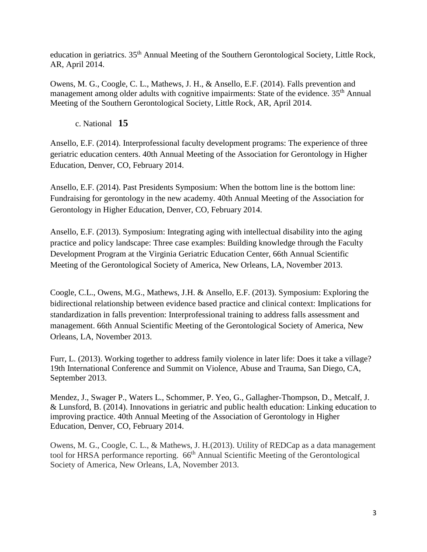education in geriatrics. 35<sup>th</sup> Annual Meeting of the Southern Gerontological Society, Little Rock, AR, April 2014.

Owens, M. G., Coogle, C. L., Mathews, J. H., & Ansello, E.F. (2014). Falls prevention and management among older adults with cognitive impairments: State of the evidence. 35<sup>th</sup> Annual Meeting of the Southern Gerontological Society, Little Rock, AR, April 2014.

c. National **15**

Ansello, E.F. (2014). Interprofessional faculty development programs: The experience of three geriatric education centers. 40th Annual Meeting of the Association for Gerontology in Higher Education, Denver, CO, February 2014.

Ansello, E.F. (2014). Past Presidents Symposium: When the bottom line is the bottom line: Fundraising for gerontology in the new academy. 40th Annual Meeting of the Association for Gerontology in Higher Education, Denver, CO, February 2014.

Ansello, E.F. (2013). Symposium: Integrating aging with intellectual disability into the aging practice and policy landscape: Three case examples: Building knowledge through the Faculty Development Program at the Virginia Geriatric Education Center, 66th Annual Scientific Meeting of the Gerontological Society of America, New Orleans, LA, November 2013.

Coogle, C.L., Owens, M.G., Mathews, J.H. & Ansello, E.F. (2013). Symposium: Exploring the bidirectional relationship between evidence based practice and clinical context: Implications for standardization in falls prevention: Interprofessional training to address falls assessment and management. 66th Annual Scientific Meeting of the Gerontological Society of America, New Orleans, LA, November 2013.

Furr, L. (2013). Working together to address family violence in later life: Does it take a village? 19th International Conference and Summit on Violence, Abuse and Trauma, San Diego, CA, September 2013.

Mendez, J., Swager P., Waters L., Schommer, P. Yeo, G., Gallagher-Thompson, D., Metcalf, J. & Lunsford, B. (2014). Innovations in geriatric and public health education: Linking education to improving practice. 40th Annual Meeting of the Association of Gerontology in Higher Education, Denver, CO, February 2014.

Owens, M. G., Coogle, C. L., & Mathews, J. H.(2013). Utility of REDCap as a data management tool for HRSA performance reporting.  $66<sup>th</sup>$  Annual Scientific Meeting of the Gerontological Society of America, New Orleans, LA, November 2013.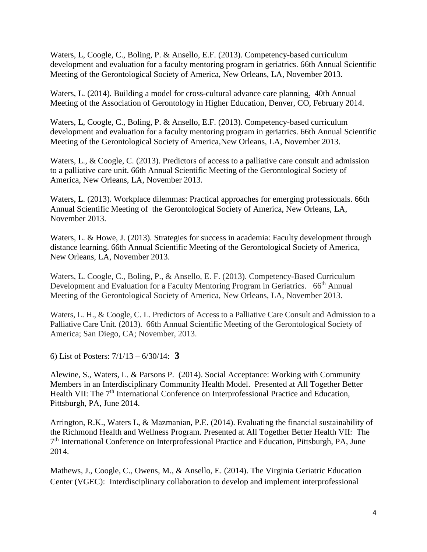Waters, L, Coogle, C., Boling, P. & Ansello, E.F. (2013). Competency-based curriculum development and evaluation for a faculty mentoring program in geriatrics. 66th Annual Scientific Meeting of the Gerontological Society of America, New Orleans, LA, November 2013.

Waters, L. (2014). Building a model for cross-cultural advance care planning. 40th Annual Meeting of the Association of Gerontology in Higher Education, Denver, CO, February 2014.

Waters, L, Coogle, C., Boling, P. & Ansello, E.F. (2013). Competency-based curriculum development and evaluation for a faculty mentoring program in geriatrics. 66th Annual Scientific Meeting of the Gerontological Society of America,New Orleans, LA, November 2013.

Waters, L., & Coogle, C. (2013). Predictors of access to a palliative care consult and admission to a palliative care unit. 66th Annual Scientific Meeting of the Gerontological Society of America, New Orleans, LA, November 2013.

Waters, L. (2013). Workplace dilemmas: Practical approaches for emerging professionals. 66th Annual Scientific Meeting of the Gerontological Society of America, New Orleans, LA, November 2013.

Waters, L. & Howe, J. (2013). Strategies for success in academia: Faculty development through distance learning. 66th Annual Scientific Meeting of the Gerontological Society of America, New Orleans, LA, November 2013.

Waters, L. Coogle, C., Boling, P., & Ansello, E. F. (2013). Competency-Based Curriculum Development and Evaluation for a Faculty Mentoring Program in Geriatrics. 66<sup>th</sup> Annual Meeting of the Gerontological Society of America, New Orleans, LA, November 2013.

Waters, L. H., & Coogle, C. L. Predictors of Access to a Palliative Care Consult and Admission to a Palliative Care Unit. (2013). 66th Annual Scientific Meeting of the Gerontological Society of America; San Diego, CA; November, 2013.

6) List of Posters: 7/1/13 – 6/30/14: **3**

Alewine, S., Waters, L. & Parsons P. (2014). Social Acceptance: Working with Community Members in an Interdisciplinary Community Health Model. Presented at All Together Better Health VII: The 7<sup>th</sup> International Conference on Interprofessional Practice and Education, Pittsburgh, PA, June 2014.

Arrington, R.K., Waters L, & Mazmanian, P.E. (2014). Evaluating the financial sustainability of the Richmond Health and Wellness Program. Presented at All Together Better Health VII: The 7<sup>th</sup> International Conference on Interprofessional Practice and Education, Pittsburgh, PA, June 2014.

Mathews, J., Coogle, C., Owens, M., & Ansello, E. (2014). The Virginia Geriatric Education Center (VGEC): Interdisciplinary collaboration to develop and implement interprofessional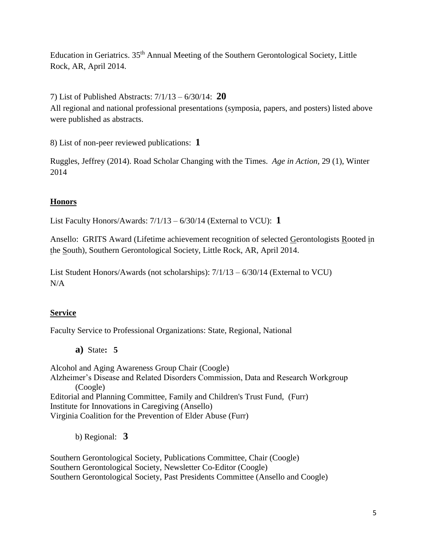Education in Geriatrics. 35th Annual Meeting of the Southern Gerontological Society, Little Rock, AR, April 2014.

7) List of Published Abstracts: 7/1/13 – 6/30/14: **20**

All regional and national professional presentations (symposia, papers, and posters) listed above were published as abstracts.

8) List of non-peer reviewed publications: **1**

Ruggles, Jeffrey (2014). Road Scholar Changing with the Times. *Age in Action,* 29 (1), Winter 2014

# **Honors**

List Faculty Honors/Awards: 7/1/13 – 6/30/14 (External to VCU): **1**

Ansello: GRITS Award (Lifetime achievement recognition of selected Gerontologists Rooted in the South), Southern Gerontological Society, Little Rock, AR, April 2014.

List Student Honors/Awards (not scholarships): 7/1/13 – 6/30/14 (External to VCU) N/A

# **Service**

Faculty Service to Professional Organizations: State, Regional, National

**a)** State**: 5**

Alcohol and Aging Awareness Group Chair (Coogle) Alzheimer's Disease and Related Disorders Commission, Data and Research Workgroup (Coogle) Editorial and Planning Committee, Family and Children's Trust Fund, (Furr) Institute for Innovations in Caregiving (Ansello) Virginia Coalition for the Prevention of Elder Abuse (Furr)

b) Regional: **3**

Southern Gerontological Society, Publications Committee, Chair (Coogle) Southern Gerontological Society, Newsletter Co-Editor (Coogle) Southern Gerontological Society, Past Presidents Committee (Ansello and Coogle)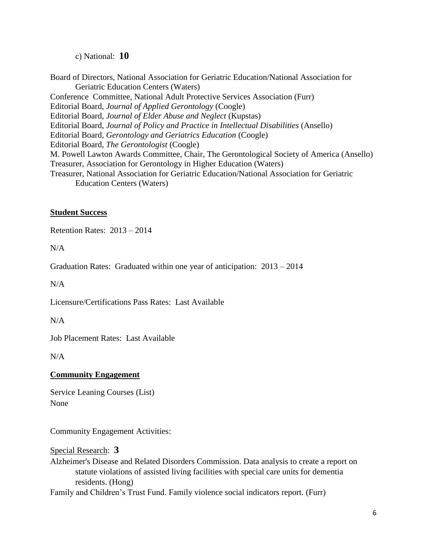c) National: **10**

Board of Directors, National Association for Geriatric Education/National Association for Geriatric Education Centers (Waters) Conference Committee, National Adult Protective Services Association (Furr) Editorial Board, *Journal of Applied Gerontology* (Coogle) Editorial Board, *Journal of Elder Abuse and Neglect* (Kupstas) Editorial Board, *Journal of Policy and Practice in Intellectual Disabilities* (Ansello) Editorial Board, *Gerontology and Geriatrics Education* (Coogle) Editorial Board, *The Gerontologist* (Coogle) M. Powell Lawton Awards Committee, Chair, The Gerontological Society of America (Ansello) Treasurer, Association for Gerontology in Higher Education (Waters) Treasurer, National Association for Geriatric Education/National Association for Geriatric Education Centers (Waters)

### **Student Success**

Retention Rates: 2013 – 2014

 $N/A$ 

Graduation Rates: Graduated within one year of anticipation: 2013 – 2014

N/A

Licensure/Certifications Pass Rates: Last Available

 $N/A$ 

Job Placement Rates: Last Available

N/A

## **Community Engagement**

Service Leaning Courses (List) None

Community Engagement Activities:

Special Research: **3** Alzheimer's Disease and Related Disorders Commission. Data analysis to create a report on statute violations of assisted living facilities with special care units for dementia residents. (Hong)

Family and Children's Trust Fund. Family violence social indicators report. (Furr)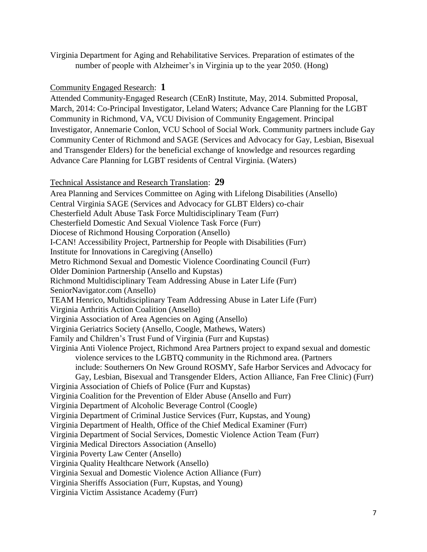Virginia Department for Aging and Rehabilitative Services. Preparation of estimates of the number of people with Alzheimer's in Virginia up to the year 2050. (Hong)

### Community Engaged Research: **1**

Attended Community-Engaged Research (CEnR) Institute, May, 2014. Submitted Proposal, March, 2014: Co-Principal Investigator, Leland Waters; Advance Care Planning for the LGBT Community in Richmond, VA, VCU Division of Community Engagement. Principal Investigator, Annemarie Conlon, VCU School of Social Work. Community partners include Gay Community Center of Richmond and SAGE (Services and Advocacy for Gay, Lesbian, Bisexual and Transgender Elders) for the beneficial exchange of knowledge and resources regarding Advance Care Planning for LGBT residents of Central Virginia. (Waters)

#### Technical Assistance and Research Translation: **29**

Area Planning and Services Committee on Aging with Lifelong Disabilities (Ansello) Central Virginia SAGE (Services and Advocacy for GLBT Elders) co-chair Chesterfield Adult Abuse Task Force Multidisciplinary Team (Furr) Chesterfield Domestic And Sexual Violence Task Force (Furr) Diocese of Richmond Housing Corporation (Ansello) I-CAN! Accessibility Project, Partnership for People with Disabilities (Furr) Institute for Innovations in Caregiving (Ansello) Metro Richmond Sexual and Domestic Violence Coordinating Council (Furr) Older Dominion Partnership (Ansello and Kupstas) Richmond Multidisciplinary Team Addressing Abuse in Later Life (Furr) SeniorNavigator.com (Ansello) TEAM Henrico, Multidisciplinary Team Addressing Abuse in Later Life (Furr) Virginia Arthritis Action Coalition (Ansello) Virginia Association of Area Agencies on Aging (Ansello) Virginia Geriatrics Society (Ansello, Coogle, Mathews, Waters) Family and Children's Trust Fund of Virginia (Furr and Kupstas) Virginia Anti Violence Project, Richmond Area Partners project to expand sexual and domestic violence services to the LGBTQ community in the Richmond area. (Partners include: [Southerners On New Ground](http://southernersonnewground.org/) [ROSMY,](http://rosmy.org/) [Safe Harbor](http://safeharborshelter.com/) [Services and Advocacy for](http://www.gayrichmond.com/programs/sage/)  [Gay, Lesbian, Bisexual and Transgender Elders,](http://www.gayrichmond.com/programs/sage/) [Action Alliance,](http://www.vsdvalliance.org/) [Fan Free Clinic\)](http://www.fanfreeclinic.org/) (Furr) Virginia Association of Chiefs of Police (Furr and Kupstas) Virginia Coalition for the Prevention of Elder Abuse (Ansello and Furr) Virginia Department of Alcoholic Beverage Control (Coogle) Virginia Department of Criminal Justice Services (Furr, Kupstas, and Young) Virginia Department of Health, Office of the Chief Medical Examiner (Furr) Virginia Department of Social Services, Domestic Violence Action Team (Furr) Virginia Medical Directors Association (Ansello) Virginia Poverty Law Center (Ansello) Virginia Quality Healthcare Network (Ansello) Virginia Sexual and Domestic Violence Action Alliance (Furr) Virginia Sheriffs Association (Furr, Kupstas, and Young) Virginia Victim Assistance Academy (Furr)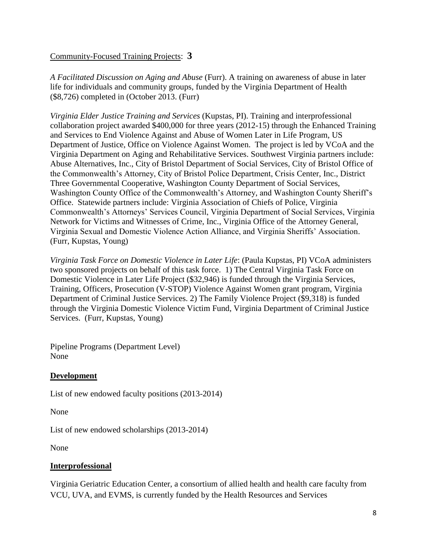## Community-Focused Training Projects: **3**

*A Facilitated Discussion on Aging and Abuse* (Furr). A training on awareness of abuse in later life for individuals and community groups, funded by the Virginia Department of Health (\$8,726) completed in (October 2013. (Furr)

*Virginia Elder Justice Training and Services* (Kupstas, PI). Training and interprofessional collaboration project awarded \$400,000 for three years (2012-15) through the Enhanced Training and Services to End Violence Against and Abuse of Women Later in Life Program, US Department of Justice, Office on Violence Against Women. The project is led by VCoA and the Virginia Department on Aging and Rehabilitative Services. Southwest Virginia partners include: Abuse Alternatives, Inc., City of Bristol Department of Social Services, City of Bristol Office of the Commonwealth's Attorney, City of Bristol Police Department, Crisis Center, Inc., District Three Governmental Cooperative, Washington County Department of Social Services, Washington County Office of the Commonwealth's Attorney, and Washington County Sheriff's Office. Statewide partners include: Virginia Association of Chiefs of Police, Virginia Commonwealth's Attorneys' Services Council, Virginia Department of Social Services, Virginia Network for Victims and Witnesses of Crime, Inc., Virginia Office of the Attorney General, Virginia Sexual and Domestic Violence Action Alliance, and Virginia Sheriffs' Association. (Furr, Kupstas, Young)

*Virginia Task Force on Domestic Violence in Later Life*: (Paula Kupstas, PI) VCoA administers two sponsored projects on behalf of this task force. 1) The Central Virginia Task Force on Domestic Violence in Later Life Project (\$32,946) is funded through the Virginia Services, Training, Officers, Prosecution (V-STOP) Violence Against Women grant program, Virginia Department of Criminal Justice Services. 2) The Family Violence Project (\$9,318) is funded through the Virginia Domestic Violence Victim Fund, Virginia Department of Criminal Justice Services. (Furr, Kupstas, Young)

Pipeline Programs (Department Level) None

## **Development**

List of new endowed faculty positions (2013-2014)

None

List of new endowed scholarships (2013-2014)

None

# **Interprofessional**

Virginia Geriatric Education Center, a consortium of allied health and health care faculty from VCU, UVA, and EVMS, is currently funded by the Health Resources and Services